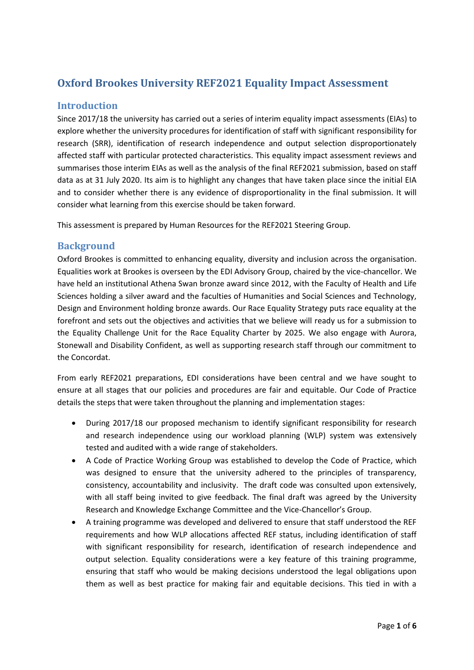# **Oxford Brookes University REF2021 Equality Impact Assessment**

# **Introduction**

Since 2017/18 the university has carried out a series of interim equality impact assessments (EIAs) to explore whether the university procedures for identification of staff with significant responsibility for research (SRR), identification of research independence and output selection disproportionately affected staff with particular protected characteristics. This equality impact assessment reviews and summarises those interim EIAs as well as the analysis of the final REF2021 submission, based on staff data as at 31 July 2020. Its aim is to highlight any changes that have taken place since the initial EIA and to consider whether there is any evidence of disproportionality in the final submission. It will consider what learning from this exercise should be taken forward.

This assessment is prepared by Human Resources for the REF2021 Steering Group.

# **Background**

Oxford Brookes is committed to enhancing equality, diversity and inclusion across the organisation. Equalities work at Brookes is overseen by the EDI Advisory Group, chaired by the vice-chancellor. We have held an institutional Athena Swan bronze award since 2012, with the Faculty of Health and Life Sciences holding a silver award and the faculties of Humanities and Social Sciences and Technology, Design and Environment holding bronze awards. Our Race Equality Strategy puts race equality at the forefront and sets out the objectives and activities that we believe will ready us for a submission to the Equality Challenge Unit for the Race Equality Charter by 2025. We also engage with Aurora, Stonewall and Disability Confident, as well as supporting research staff through our commitment to the Concordat.

From early REF2021 preparations, EDI considerations have been central and we have sought to ensure at all stages that our policies and procedures are fair and equitable. Our Code of Practice details the steps that were taken throughout the planning and implementation stages:

- During 2017/18 our proposed mechanism to identify significant responsibility for research and research independence using our workload planning (WLP) system was extensively tested and audited with a wide range of stakeholders.
- A Code of Practice Working Group was established to develop the Code of Practice, which was designed to ensure that the university adhered to the principles of transparency, consistency, accountability and inclusivity. The draft code was consulted upon extensively, with all staff being invited to give feedback. The final draft was agreed by the University Research and Knowledge Exchange Committee and the Vice-Chancellor's Group.
- A training programme was developed and delivered to ensure that staff understood the REF requirements and how WLP allocations affected REF status, including identification of staff with significant responsibility for research, identification of research independence and output selection. Equality considerations were a key feature of this training programme, ensuring that staff who would be making decisions understood the legal obligations upon them as well as best practice for making fair and equitable decisions. This tied in with a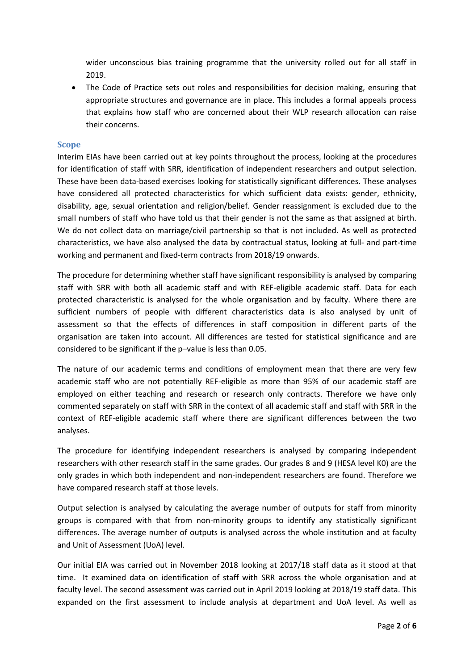wider unconscious bias training programme that the university rolled out for all staff in 2019.

 The Code of Practice sets out roles and responsibilities for decision making, ensuring that appropriate structures and governance are in place. This includes a formal appeals process that explains how staff who are concerned about their WLP research allocation can raise their concerns.

#### **Scope**

Interim EIAs have been carried out at key points throughout the process, looking at the procedures for identification of staff with SRR, identification of independent researchers and output selection. These have been data-based exercises looking for statistically significant differences. These analyses have considered all protected characteristics for which sufficient data exists: gender, ethnicity, disability, age, sexual orientation and religion/belief. Gender reassignment is excluded due to the small numbers of staff who have told us that their gender is not the same as that assigned at birth. We do not collect data on marriage/civil partnership so that is not included. As well as protected characteristics, we have also analysed the data by contractual status, looking at full- and part-time working and permanent and fixed-term contracts from 2018/19 onwards.

The procedure for determining whether staff have significant responsibility is analysed by comparing staff with SRR with both all academic staff and with REF-eligible academic staff. Data for each protected characteristic is analysed for the whole organisation and by faculty. Where there are sufficient numbers of people with different characteristics data is also analysed by unit of assessment so that the effects of differences in staff composition in different parts of the organisation are taken into account. All differences are tested for statistical significance and are considered to be significant if the p–value is less than 0.05.

The nature of our academic terms and conditions of employment mean that there are very few academic staff who are not potentially REF-eligible as more than 95% of our academic staff are employed on either teaching and research or research only contracts. Therefore we have only commented separately on staff with SRR in the context of all academic staff and staff with SRR in the context of REF-eligible academic staff where there are significant differences between the two analyses.

The procedure for identifying independent researchers is analysed by comparing independent researchers with other research staff in the same grades. Our grades 8 and 9 (HESA level K0) are the only grades in which both independent and non-independent researchers are found. Therefore we have compared research staff at those levels.

Output selection is analysed by calculating the average number of outputs for staff from minority groups is compared with that from non-minority groups to identify any statistically significant differences. The average number of outputs is analysed across the whole institution and at faculty and Unit of Assessment (UoA) level.

Our initial EIA was carried out in November 2018 looking at 2017/18 staff data as it stood at that time. It examined data on identification of staff with SRR across the whole organisation and at faculty level. The second assessment was carried out in April 2019 looking at 2018/19 staff data. This expanded on the first assessment to include analysis at department and UoA level. As well as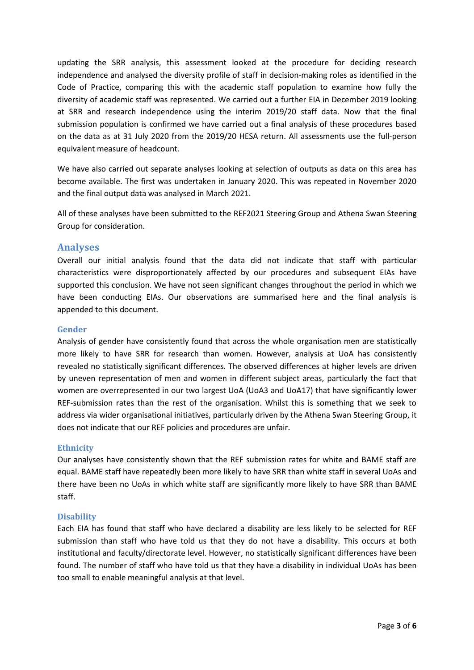updating the SRR analysis, this assessment looked at the procedure for deciding research independence and analysed the diversity profile of staff in decision-making roles as identified in the Code of Practice, comparing this with the academic staff population to examine how fully the diversity of academic staff was represented. We carried out a further EIA in December 2019 looking at SRR and research independence using the interim 2019/20 staff data. Now that the final submission population is confirmed we have carried out a final analysis of these procedures based on the data as at 31 July 2020 from the 2019/20 HESA return. All assessments use the full-person equivalent measure of headcount.

We have also carried out separate analyses looking at selection of outputs as data on this area has become available. The first was undertaken in January 2020. This was repeated in November 2020 and the final output data was analysed in March 2021.

All of these analyses have been submitted to the REF2021 Steering Group and Athena Swan Steering Group for consideration.

# **Analyses**

Overall our initial analysis found that the data did not indicate that staff with particular characteristics were disproportionately affected by our procedures and subsequent EIAs have supported this conclusion. We have not seen significant changes throughout the period in which we have been conducting EIAs. Our observations are summarised here and the final analysis is appended to this document.

### **Gender**

Analysis of gender have consistently found that across the whole organisation men are statistically more likely to have SRR for research than women. However, analysis at UoA has consistently revealed no statistically significant differences. The observed differences at higher levels are driven by uneven representation of men and women in different subject areas, particularly the fact that women are overrepresented in our two largest UoA (UoA3 and UoA17) that have significantly lower REF-submission rates than the rest of the organisation. Whilst this is something that we seek to address via wider organisational initiatives, particularly driven by the Athena Swan Steering Group, it does not indicate that our REF policies and procedures are unfair.

# **Ethnicity**

Our analyses have consistently shown that the REF submission rates for white and BAME staff are equal. BAME staff have repeatedly been more likely to have SRR than white staff in several UoAs and there have been no UoAs in which white staff are significantly more likely to have SRR than BAME staff.

#### **Disability**

Each EIA has found that staff who have declared a disability are less likely to be selected for REF submission than staff who have told us that they do not have a disability. This occurs at both institutional and faculty/directorate level. However, no statistically significant differences have been found. The number of staff who have told us that they have a disability in individual UoAs has been too small to enable meaningful analysis at that level.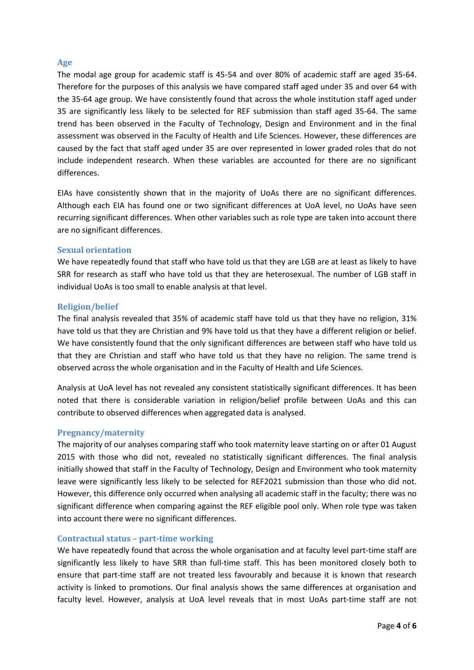### **Age**

The modal age group for academic staff is 45-54 and over 80% of academic staff are aged 35-64. Therefore for the purposes of this analysis we have compared staff aged under 35 and over 64 with the 35-64 age group. We have consistently found that across the whole institution staff aged under 35 are significantly less likely to be selected for REF submission than staff aged 35-64. The same trend has been observed in the Faculty of Technology, Design and Environment and in the final assessment was observed in the Faculty of Health and Life Sciences. However, these differences are caused by the fact that staff aged under 35 are over represented in lower graded roles that do not include independent research. When these variables are accounted for there are no significant differences.

EIAs have consistently shown that in the majority of UoAs there are no significant differences. Although each EIA has found one or two significant differences at UoA level, no UoAs have seen recurring significant differences. When other variables such as role type are taken into account there are no significant differences.

#### **Sexual orientation**

We have repeatedly found that staff who have told us that they are LGB are at least as likely to have SRR for research as staff who have told us that they are heterosexual. The number of LGB staff in individual UoAs is too small to enable analysis at that level.

### **Religion/belief**

The final analysis revealed that 35% of academic staff have told us that they have no religion, 31% have told us that they are Christian and 9% have told us that they have a different religion or belief. We have consistently found that the only significant differences are between staff who have told us that they are Christian and staff who have told us that they have no religion. The same trend is observed across the whole organisation and in the Faculty of Health and Life Sciences.

Analysis at UoA level has not revealed any consistent statistically significant differences. It has been noted that there is considerable variation in religion/belief profile between UoAs and this can contribute to observed differences when aggregated data is analysed.

# **Pregnancy/maternity**

The majority of our analyses comparing staff who took maternity leave starting on or after 01 August 2015 with those who did not, revealed no statistically significant differences. The final analysis initially showed that staff in the Faculty of Technology, Design and Environment who took maternity leave were significantly less likely to be selected for REF2021 submission than those who did not. However, this difference only occurred when analysing all academic staff in the faculty; there was no significant difference when comparing against the REF eligible pool only. When role type was taken into account there were no significant differences.

#### **Contractual status – part-time working**

We have repeatedly found that across the whole organisation and at faculty level part-time staff are significantly less likely to have SRR than full-time staff. This has been monitored closely both to ensure that part-time staff are not treated less favourably and because it is known that research activity is linked to promotions. Our final analysis shows the same differences at organisation and faculty level. However, analysis at UoA level reveals that in most UoAs part-time staff are not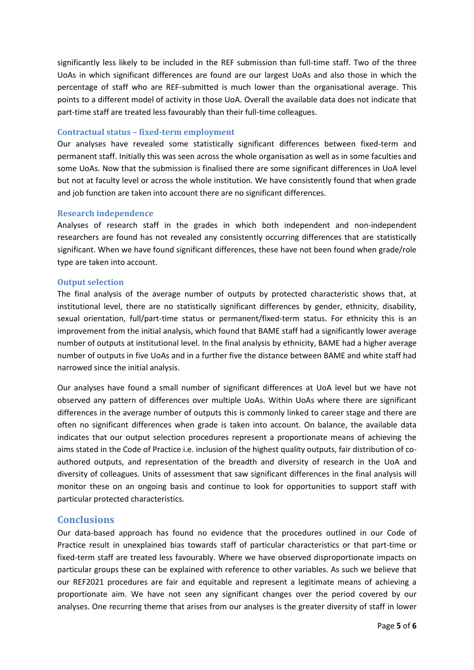significantly less likely to be included in the REF submission than full-time staff. Two of the three UoAs in which significant differences are found are our largest UoAs and also those in which the percentage of staff who are REF-submitted is much lower than the organisational average. This points to a different model of activity in those UoA. Overall the available data does not indicate that part-time staff are treated less favourably than their full-time colleagues.

#### **Contractual status – fixed-term employment**

Our analyses have revealed some statistically significant differences between fixed-term and permanent staff. Initially this was seen across the whole organisation as well as in some faculties and some UoAs. Now that the submission is finalised there are some significant differences in UoA level but not at faculty level or across the whole institution. We have consistently found that when grade and job function are taken into account there are no significant differences.

### **Research independence**

Analyses of research staff in the grades in which both independent and non-independent researchers are found has not revealed any consistently occurring differences that are statistically significant. When we have found significant differences, these have not been found when grade/role type are taken into account.

### **Output selection**

The final analysis of the average number of outputs by protected characteristic shows that, at institutional level, there are no statistically significant differences by gender, ethnicity, disability, sexual orientation, full/part-time status or permanent/fixed-term status. For ethnicity this is an improvement from the initial analysis, which found that BAME staff had a significantly lower average number of outputs at institutional level. In the final analysis by ethnicity, BAME had a higher average number of outputs in five UoAs and in a further five the distance between BAME and white staff had narrowed since the initial analysis.

Our analyses have found a small number of significant differences at UoA level but we have not observed any pattern of differences over multiple UoAs. Within UoAs where there are significant differences in the average number of outputs this is commonly linked to career stage and there are often no significant differences when grade is taken into account. On balance, the available data indicates that our output selection procedures represent a proportionate means of achieving the aims stated in the Code of Practice i.e. inclusion of the highest quality outputs, fair distribution of coauthored outputs, and representation of the breadth and diversity of research in the UoA and diversity of colleagues. Units of assessment that saw significant differences in the final analysis will monitor these on an ongoing basis and continue to look for opportunities to support staff with particular protected characteristics.

# **Conclusions**

Our data-based approach has found no evidence that the procedures outlined in our Code of Practice result in unexplained bias towards staff of particular characteristics or that part-time or fixed-term staff are treated less favourably. Where we have observed disproportionate impacts on particular groups these can be explained with reference to other variables. As such we believe that our REF2021 procedures are fair and equitable and represent a legitimate means of achieving a proportionate aim. We have not seen any significant changes over the period covered by our analyses. One recurring theme that arises from our analyses is the greater diversity of staff in lower